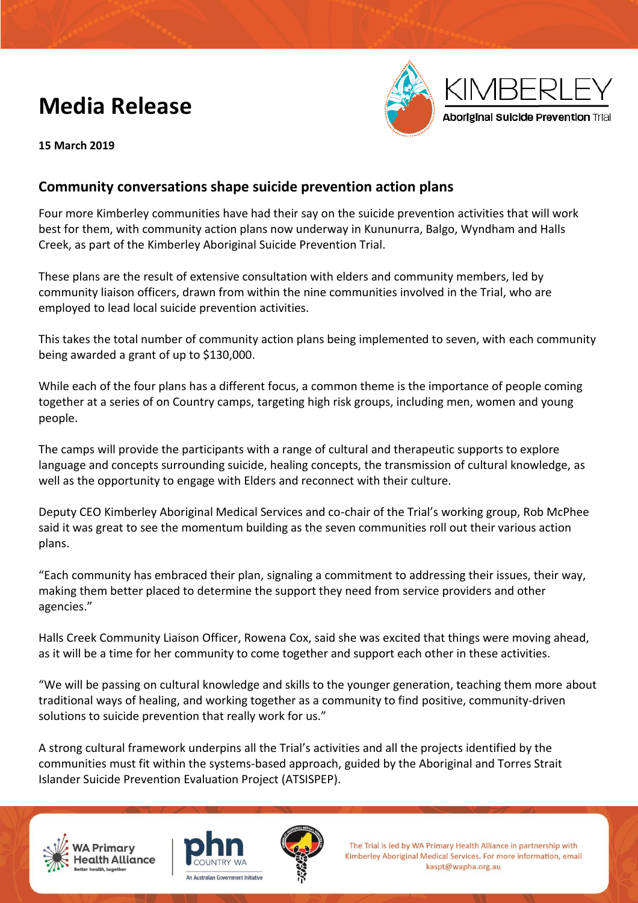# **Media Release**



**15 March 2019**

## **Community conversations shape suicide prevention action plans**

Four more Kimberley communities have had their say on the suicide prevention activities that will work best for them, with community action plans now underway in Kununurra, Balgo, Wyndham and Halls Creek, as part of the Kimberley Aboriginal Suicide Prevention Trial.

These plans are the result of extensive consultation with elders and community members, led by community liaison officers, drawn from within the nine communities involved in the Trial, who are employed to lead local suicide prevention activities.

This takes the total number of community action plans being implemented to seven, with each community being awarded a grant of up to \$130,000.

While each of the four plans has a different focus, a common theme is the importance of people coming together at a series of on Country camps, targeting high risk groups, including men, women and young people.

The camps will provide the participants with a range of cultural and therapeutic supports to explore language and concepts surrounding suicide, healing concepts, the transmission of cultural knowledge, as well as the opportunity to engage with Elders and reconnect with their culture.

Deputy CEO Kimberley Aboriginal Medical Services and co-chair of the Trial's working group, Rob McPhee said it was great to see the momentum building as the seven communities roll out their various action plans.

"Each community has embraced their plan, signaling a commitment to addressing their issues, their way, making them better placed to determine the support they need from service providers and other agencies."

Halls Creek Community Liaison Officer, Rowena Cox, said she was excited that things were moving ahead, as it will be a time for her community to come together and support each other in these activities.

"We will be passing on cultural knowledge and skills to the younger generation, teaching them more about traditional ways of healing, and working together as a community to find positive, community-driven solutions to suicide prevention that really work for us."

A strong cultural framework underpins all the Trial's activities and all the projects identified by the communities must fit within the systems-based approach, guided by the Aboriginal and Torres Strait Islander Suicide Prevention Evaluation Project (ATSISPEP).







The Trial is led by WA Primary Health Alliance in partnership with Kimberley Aboriginal Medical Services. For more information, email kaspt@wapha.org.au